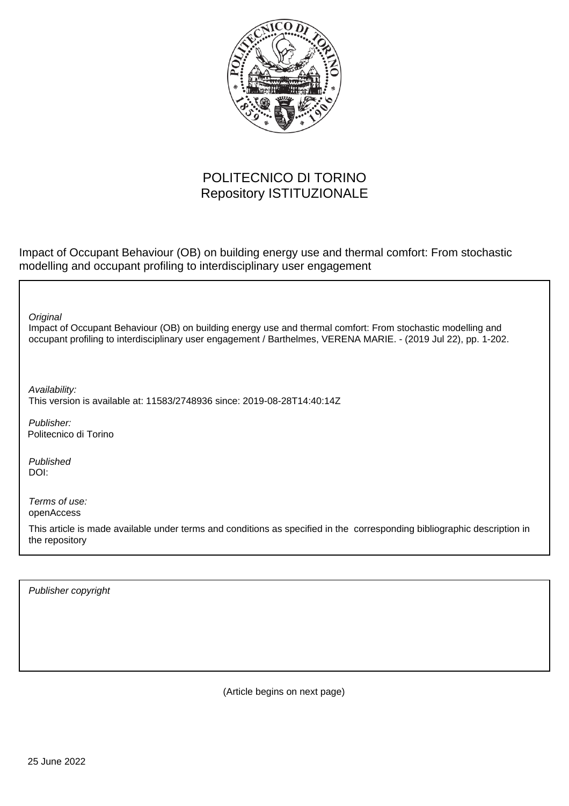

## POLITECNICO DI TORINO Repository ISTITUZIONALE

Impact of Occupant Behaviour (OB) on building energy use and thermal comfort: From stochastic modelling and occupant profiling to interdisciplinary user engagement

**Original** 

Impact of Occupant Behaviour (OB) on building energy use and thermal comfort: From stochastic modelling and occupant profiling to interdisciplinary user engagement / Barthelmes, VERENA MARIE. - (2019 Jul 22), pp. 1-202.

Availability: This version is available at: 11583/2748936 since: 2019-08-28T14:40:14Z

Publisher: Politecnico di Torino

Published DOI:

Terms of use: openAccess

This article is made available under terms and conditions as specified in the corresponding bibliographic description in the repository

Publisher copyright

(Article begins on next page)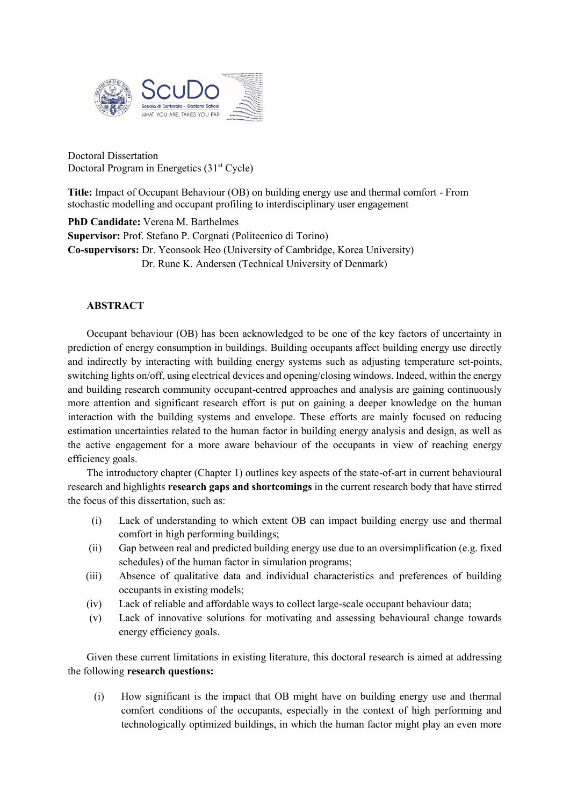

Doctoral Dissertation Doctoral Program in Energetics (31<sup>st</sup> Cycle)

**Title:** Impact of Occupant Behaviour (OB) on building energy use and thermal comfort - From stochastic modelling and occupant profiling to interdisciplinary user engagement

**PhD Candidate:** Verena M. Barthelmes **Supervisor:** Prof. Stefano P. Corgnati (Politecnico di Torino) **Co-supervisors:** Dr. Yeonsook Heo (University of Cambridge, Korea University) Dr. Rune K. Andersen (Technical University of Denmark)

## **ABSTRACT**

Occupant behaviour (OB) has been acknowledged to be one of the key factors of uncertainty in prediction of energy consumption in buildings. Building occupants affect building energy use directly and indirectly by interacting with building energy systems such as adjusting temperature set-points, switching lights on/off, using electrical devices and opening/closing windows. Indeed, within the energy and building research community occupant-centred approaches and analysis are gaining continuously more attention and significant research effort is put on gaining a deeper knowledge on the human interaction with the building systems and envelope. These efforts are mainly focused on reducing estimation uncertainties related to the human factor in building energy analysis and design, as well as the active engagement for a more aware behaviour of the occupants in view of reaching energy efficiency goals.

The introductory chapter (Chapter 1) outlines key aspects of the state-of-art in current behavioural research and highlights **research gaps and shortcomings** in the current research body that have stirred the focus of this dissertation, such as:

- (i) Lack of understanding to which extent OB can impact building energy use and thermal comfort in high performing buildings;
- (ii) Gap between real and predicted building energy use due to an oversimplification (e.g. fixed schedules) of the human factor in simulation programs;
- (iii) Absence of qualitative data and individual characteristics and preferences of building occupants in existing models;
- (iv) Lack of reliable and affordable ways to collect large-scale occupant behaviour data;
- (v) Lack of innovative solutions for motivating and assessing behavioural change towards energy efficiency goals.

Given these current limitations in existing literature, this doctoral research is aimed at addressing the following **research questions:**

(i) How significant is the impact that OB might have on building energy use and thermal comfort conditions of the occupants, especially in the context of high performing and technologically optimized buildings, in which the human factor might play an even more